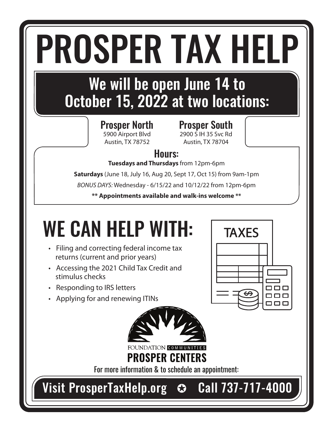# PROSPER TAX HELP

### We will be open June 14 to October 15, 2022 at two locations:

Prosper North 5900 Airport Blvd Austin, TX 78752

Prosper South 2900 S IH 35 Svc Rd Austin, TX 78704

**TAXES** 

ooo ooo

#### Hours:

**Tuesdays and Thursdays** from 12pm-6pm

**Saturdays** (June 18, July 16, Aug 20, Sept 17, Oct 15) from 9am-1pm

*BONUS DAYS:* Wednesday - 6/15/22 and 10/12/22 from 12pm-6pm

**\*\* Appointments available and walk-ins welcome \*\***

## WE CAN HELP WITH:

- Filing and correcting federal income tax returns (current and prior years)
- Accessing the 2021 Child Tax Credit and stimulus checks
- Responding to IRS letters
- Applying for and renewing ITINs



FOUNDATION COMM **PROSPER CENTERS** 

For more information & to schedule an appointment:

Visit ProsperTaxHelp.org  $\heartsuit$  Call 737-717-4000